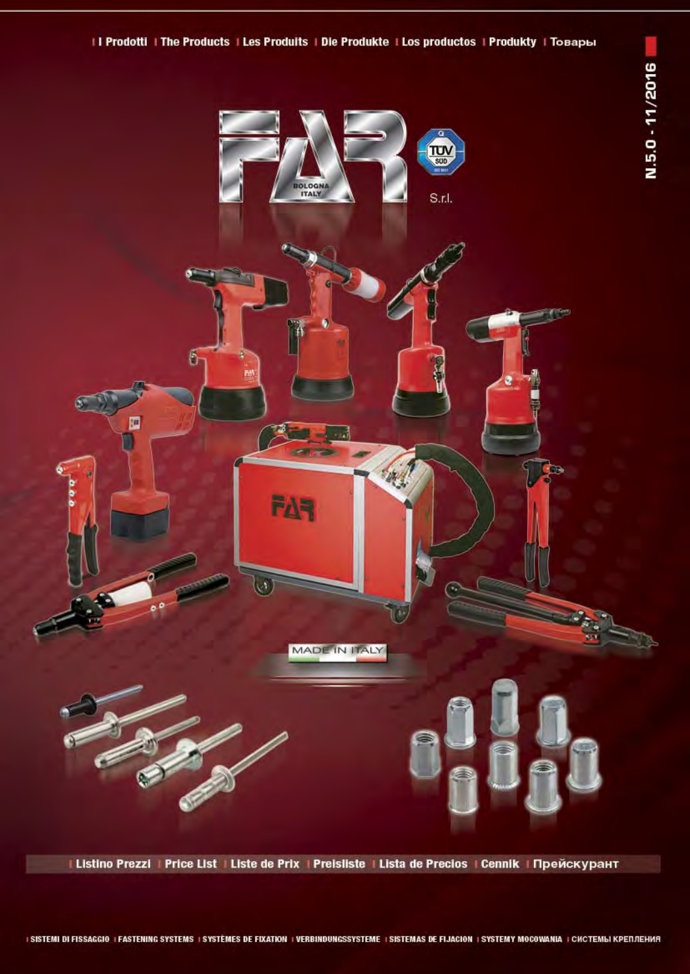



# I Listino Prezzi | Price List | Liste de Prix | Preisliste | Lista de Precios | Cennik | Прейскурант

## I SISTEMI DI FISSAGGIO I FASTENING SYSTEMS I SYSTEMES DE FIXATION I VERBINDUNGSSYSTEME I SISTEMAS DE FIJACION I SYSTEMY MOCOWANIA I CHCTEMЫ КРЕПЛЕНИЯ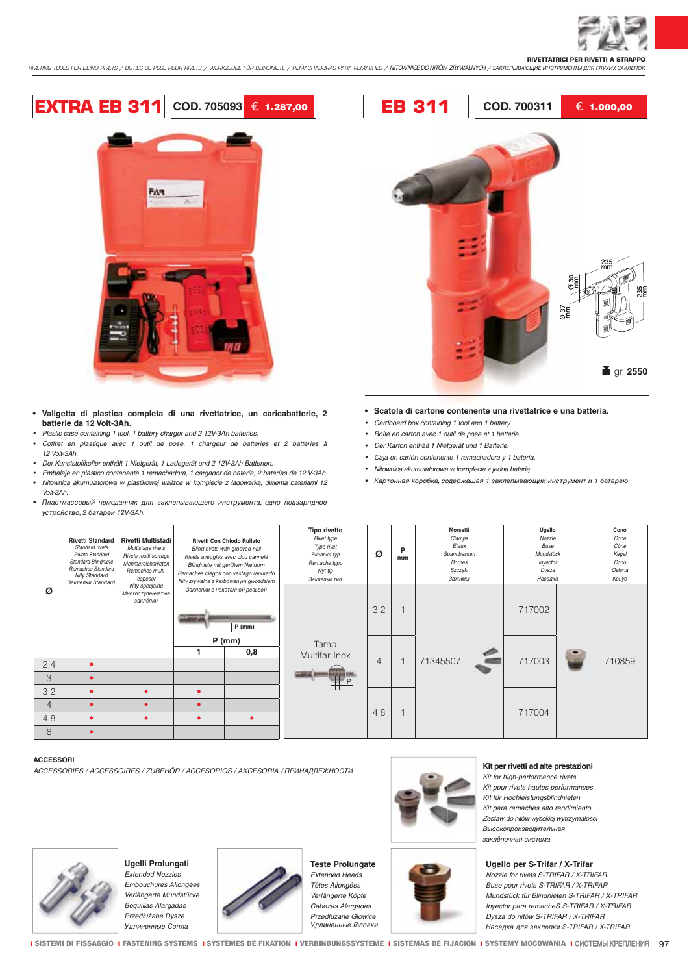

**RIVETTATRICI PER RIVETTI A STRAPPO** *RIVETING TOOLS FOR BLIND RIVETS / OUTILS DE POSE POUR RIVETS / WERKZEUGE FÜR BLINDNIETE / REMACHADORAS PARA REMACHES /* NITOWNICE DO NITÓW ZRYWALNYCH */* ЗАКЛЕПЫВАЮЩИЕ ИНСТРУМЕНТЫ ДЛЯ ГЛУХИХ ЗАКЛЕПОК



- **Valigetta di plastica completa di una rivettatrice, un caricabatterie, 2 batterie da 12 Volt-3Ah.**
- *Plastic case containing 1 tool, 1 battery charger and 2 12V-3Ah batteries.*
- *Coffret en plastique avec 1 outil de pose, 1 chargeur de batteries et 2 batteries à 12 Volt-3Ah.*
- *Der Kunststoffkoffer enthält 1 Nietgerät, 1 Ladegerät und 2 12V-3Ah Batterien.*
- *Embalaje en plástico contenente 1 remachadora, 1 cargador de batería, 2 baterías de 12 V-3Ah.*

*•* Nitownica akumulatorowa w plastikowej walizce w komplecie z ładowarką, dwiema bateriami 12 Volt-3Ah.

• Пластмассовый чемоданчик для заклепывающего инструмента, одно подзарядное устройство, 2 батареи 12V-3Ah.



- **Scatola di cartone contenente una rivettatrice e una batteria.**
- *Cardboard box containing 1 tool and 1 battery.*
- *Boîte en carton avec 1 outil de pose et 1 batterie.*
- *Der Karton enthält 1 Nietgerät und 1 Batterie.*
- *Caja en cartón contenente 1 remachadora y 1 batería.*
- *•* Nitownica akumulatorowa w komplecie z jedna baterią.
- Картонная коробка, содержащая 1 заклепывающий инструмент и 1 батарею.

| <i>yorpoworbo, z varapow izvorni.</i> |                                                                                                                                                                                                                                                |                                                                                             |                                                                                                                                                                                                                               |                                        |                                                                                                             |                |         |                                                                                  |  |                                                                       |  |                                                          |
|---------------------------------------|------------------------------------------------------------------------------------------------------------------------------------------------------------------------------------------------------------------------------------------------|---------------------------------------------------------------------------------------------|-------------------------------------------------------------------------------------------------------------------------------------------------------------------------------------------------------------------------------|----------------------------------------|-------------------------------------------------------------------------------------------------------------|----------------|---------|----------------------------------------------------------------------------------|--|-----------------------------------------------------------------------|--|----------------------------------------------------------|
| Ø                                     | <b>Rivetti Standard</b><br>Standard rivets<br>Multistage rivets<br><b>Rivets Standard</b><br>Standard Blindniete<br>Remaches Standard<br>Remaches multi-<br><b>Nity Standard</b><br>espesor<br>Заклепки Standard<br>Nity specjalne<br>заклёпки | <b>Rivetti Multistadi</b><br>Rivets multi-serrage<br>Mehrbereichsnieten<br>Многоступенчатые | <b>Rivetti Con Chiodo Rullato</b><br>Blind rivets with grooved nail<br>Rivets aveugles avec clou cannelé<br>Blindniete mit gerilltem Nietdorn<br>Remaches ciegos con vastago ranurado<br>Nity zrywalne z karbowanym gwoździem |                                        | Tipo rivetto<br>Rivet type<br>Type rivet<br><b>Blindniet typ</b><br>Remache typo<br>Nyt tip<br>Заклепки тип | Ø              | P<br>mm | Morsetti<br>Clamps<br>Etaux<br>Spannbacken<br><b>Bornes</b><br>Szczeki<br>Зажимы |  | Ugello<br>Nozzle<br>Buse<br>Mundstück<br>Inyector<br>Dysza<br>Насадка |  | Cono<br>Cone<br>Cône<br>Kegel<br>Cono<br>Osłona<br>Конус |
|                                       |                                                                                                                                                                                                                                                |                                                                                             |                                                                                                                                                                                                                               | Заклепки с накатанной резьбой<br>P(mm) |                                                                                                             | 3,2            |         |                                                                                  |  | 717002                                                                |  |                                                          |
|                                       |                                                                                                                                                                                                                                                |                                                                                             | $P$ (mm)<br>0,8                                                                                                                                                                                                               | Tamp<br>Multifar Inox                  |                                                                                                             |                |         |                                                                                  |  |                                                                       |  |                                                          |
| 2,4                                   | ٠                                                                                                                                                                                                                                              |                                                                                             |                                                                                                                                                                                                                               |                                        |                                                                                                             | $\overline{4}$ |         | 71345507                                                                         |  | 717003                                                                |  | 710859                                                   |
| 3                                     |                                                                                                                                                                                                                                                |                                                                                             |                                                                                                                                                                                                                               |                                        |                                                                                                             |                |         |                                                                                  |  |                                                                       |  |                                                          |
| 3,2                                   |                                                                                                                                                                                                                                                |                                                                                             | $\bullet$                                                                                                                                                                                                                     |                                        |                                                                                                             |                |         |                                                                                  |  |                                                                       |  |                                                          |
| $\overline{4}$                        |                                                                                                                                                                                                                                                |                                                                                             | $\bullet$                                                                                                                                                                                                                     |                                        |                                                                                                             |                |         |                                                                                  |  |                                                                       |  |                                                          |
| 4.8                                   | $\bullet$                                                                                                                                                                                                                                      |                                                                                             | $\bullet$                                                                                                                                                                                                                     | ٠                                      |                                                                                                             | 4,8            |         |                                                                                  |  | 717004                                                                |  |                                                          |
| 6                                     | $\bullet$                                                                                                                                                                                                                                      |                                                                                             |                                                                                                                                                                                                                               |                                        |                                                                                                             |                |         |                                                                                  |  |                                                                       |  |                                                          |

### **ACCESSORI**

*ACCESSORIES / ACCESSOIRES / ZUBEHÖR / ACCESORIOS /* AKCESORIA */* ПРИНАДЛЕЖНОСТИ



### **Kit per rivetti ad alte prestazioni**

*Kit for high-performance rivets Kit pour rivets hautes performances Kit für Hochleistungsblindnieten Kit para remaches alto rendimiento* Zestaw do nitów wysokiej wytrzymałości Высокопроизводительная заклёпочная система

**Ugello per S-Trifar / X-Trifar** *Nozzle for rivets S-TRIFAR / X-TRIFAR Buse pour rivets S-TRIFAR / X-TRIFAR Mundstück für Blindnieten S-TRIFAR / X-TRIFAR Inyector para remacheS S-TRIFAR / X-TRIFAR Dysza do nitów S-TRIFAR / X-TRIFAR*  Насадка для заклепки S-TRIFAR / X-TRIFAR



**Ugelli Prolungati** *Extended Nozzles Embouchures Allongées Verlängerte Mundstücke*



**Teste Prolungate** *Extended Heads Têtes Allongées Verlängerte Köpfe Cabezas Alargadas* Przedłużane Głowice Удлиненные Головки

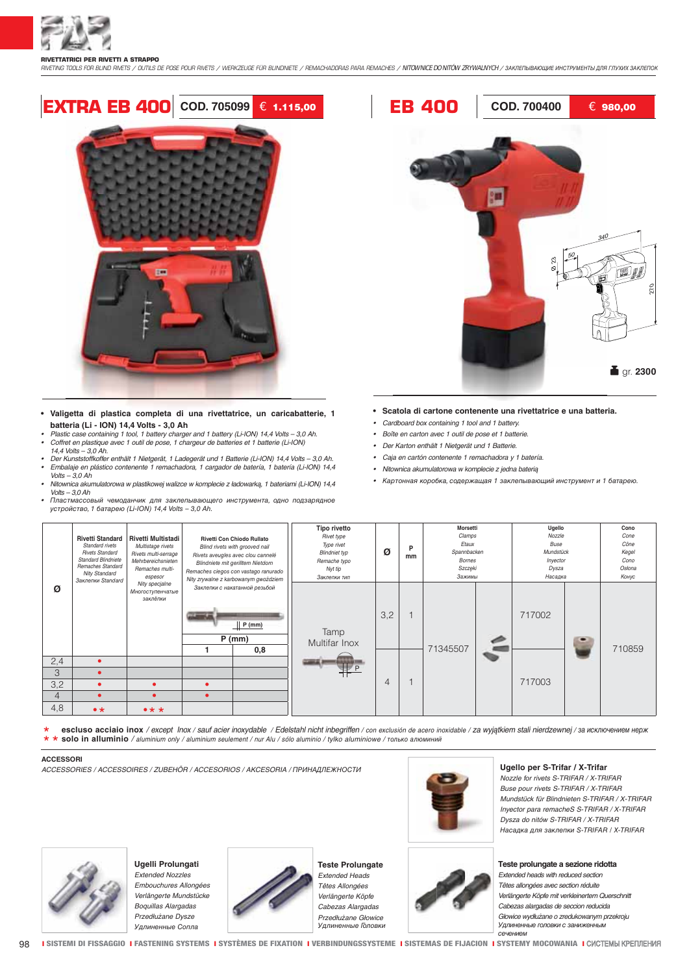

*RIVETING TOOLS FOR BLIND RIVETS / OUTILS DE POSE POUR RIVETS / WERKZEUGE FÜR BLINDNIETE / REMACHADORAS PARA REMACHES /* NITOWNICE DO NITÓW ZRYWALNYCH */* ЗАКЛЕПЫВАЮЩИЕ ИНСТРУМЕНТЫ ДЛЯ ГЛУХИХ ЗАКЛЕПОК

# **EXTRA EB 400 COD. 705099** € **1.115,00 EB 400 COD. 700400** € **980,00**



- **•** Valigetta di plastica completa di una rivettatrice, un caricabatterie, 1 **batteria (Li - ION) 14,4 Volts - 3,0 Ah**
- *Plastic case containing 1 tool, 1 battery charger and 1 battery (Li-ION) 14,4 Volts 3,0 Ah. Coffret en plastique avec 1 outil de pose, 1 chargeur de batteries et 1 batterie (Li-ION) 14,4 Volts – 3,0 Ah.*
- *Der Kunststoffkoffer enthält 1 Nietgerät, 1 Ladegerät und 1 Batterie (Li-ION) 14,4 Volts 3,0 Ah.*
- *Embalaje en plástico contenente 1 remachadora, 1 cargador de batería, 1 batería (Li-ION) 14,4 Volts – 3,0 Ah*
- Nitownica akumulatorowa w plastikowej walizce w komplecie z ładowarką, 1 bateriami (Li-ION) 14,4  $Volts - 3.0 Ah$
- *•* Пластмассовый чемоданчик для заклепывающего инструмента, одно подзарядное устройство, 1 батарею (Li-ION) 14,4 Volts – 3,0 Ah.



### **• Scatola di cartone contenente una rivettatrice e una batteria.**

- *Cardboard box containing 1 tool and 1 battery.*
- *Boîte en carton avec 1 outil de pose et 1 batterie.*
- *Der Karton enthält 1 Nietgerät und 1 Batterie.*
- *Caja en cartón contenente 1 remachadora y 1 batería.*
- Nitownica akumulatorowa w komplecie z jedna baterią
- Картонная коробка, содержащая 1 заклепывающий инструмент и 1 батарею.

| Ø              | <b>Rivetti Standard</b><br>Standard rivets<br><b>Rivets Standard</b><br><b>Standard Blindniete</b><br>Remaches Standard<br><b>Nity Standard</b><br>Заклепки Standard | <b>Rivetti Multistadi</b><br>Multistage rivets<br>Rivets multi-serrage<br>Mehrbereichsnieten<br>Remaches multi-<br>espesor<br>Nity specjalne<br>Многоступенчатые<br>заклёпки | Rivetti Con Chiodo Rullato<br>Blind rivets with grooved nail<br>Rivets aveugles avec clou cannelé<br>Blindniete mit gerilltem Nietdorn<br>Remaches ciegos con vastago ranurado<br>Nity zrywalne z karbowanym gwoździem |                                                           | Tipo rivetto<br>Rivet type<br>Type rivet<br><b>Blindniet typ</b><br>Remache typo<br>Nyt tip<br>Заклепки тип | Ø   | P<br>mm | <b>Morsetti</b><br>Clamps<br>Etaux<br>Spannbacken<br>Bornes<br>Szczęki<br>Зажимы |  | Ugello<br>Nozzle<br>Buse<br>Mundstück<br>Inyector<br>Dysza<br>Насадка |  | Cono<br>Cone<br>Cône<br>Kegel<br>Cono<br>Osłona<br>Конус |
|----------------|----------------------------------------------------------------------------------------------------------------------------------------------------------------------|------------------------------------------------------------------------------------------------------------------------------------------------------------------------------|------------------------------------------------------------------------------------------------------------------------------------------------------------------------------------------------------------------------|-----------------------------------------------------------|-------------------------------------------------------------------------------------------------------------|-----|---------|----------------------------------------------------------------------------------|--|-----------------------------------------------------------------------|--|----------------------------------------------------------|
|                |                                                                                                                                                                      |                                                                                                                                                                              |                                                                                                                                                                                                                        | Заклепки с накатанной резьбой<br>P(mm)<br>$P$ (mm)<br>0,8 | Tamp<br>Multifar Inox                                                                                       | 3,2 |         | 71345507                                                                         |  | 717002                                                                |  | 710859                                                   |
| 2,4            | $\bullet$                                                                                                                                                            |                                                                                                                                                                              |                                                                                                                                                                                                                        |                                                           |                                                                                                             |     |         |                                                                                  |  |                                                                       |  |                                                          |
| 3              |                                                                                                                                                                      |                                                                                                                                                                              |                                                                                                                                                                                                                        |                                                           |                                                                                                             |     |         |                                                                                  |  |                                                                       |  |                                                          |
| 3,2            |                                                                                                                                                                      | ٠                                                                                                                                                                            |                                                                                                                                                                                                                        |                                                           |                                                                                                             | 4   |         |                                                                                  |  | 717003                                                                |  |                                                          |
| $\overline{4}$ |                                                                                                                                                                      | $\bullet$                                                                                                                                                                    |                                                                                                                                                                                                                        |                                                           |                                                                                                             |     |         |                                                                                  |  |                                                                       |  |                                                          |
| 4,8            | $\bullet\star$                                                                                                                                                       | $\bullet\star\star$                                                                                                                                                          |                                                                                                                                                                                                                        |                                                           |                                                                                                             |     |         |                                                                                  |  |                                                                       |  |                                                          |

**\* escluso acciaio inox** */ except Inox / sauf acier inoxydable / Edelstahl nicht inbegriffen / con exclusión de acero inoxidable /* za wyjątkiem stali nierdzewnej */* за исключением нерж **\*\* solo in alluminio** */ aluminium only / aluminium seulement / nur Alu / sólo aluminio /* tylko aluminiowe */* только алюминий

### **ACCESSORI**

*ACCESSORIES / ACCESSOIRES / ZUBEHÖR / ACCESORIOS /* AKCESORIA */* ПРИНАДЛЕЖНОСТИ **Ugello per S-Trifar / X-Trifar**



*Nozzle for rivets S-TRIFAR / X-TRIFAR Buse pour rivets S-TRIFAR / X-TRIFAR Mundstück für Blindnieten S-TRIFAR / X-TRIFAR Inyector para remacheS S-TRIFAR / X-TRIFAR Dysza do nitów S-TRIFAR / X-TRIFAR*  Насадка для заклепки S-TRIFAR / X-TRIFAR

**Teste prolungate a sezione ridotta**

*Extended heads with reduced section Têtes allongées avec section réduite Verlängerte Köpfe mit verkleinertem Querschnitt Cabezas alargadas de seccion reducida*  Głowice wydłużane o zredukowanym przekroju Удлиненные головки с заниженным сечением



**Ugelli Prolungati** *Extended Nozzles Embouchures Allongées Verlängerte Mundstücke Boquillas Alargadas* Przedłużane Dysze



**Teste Prolungate** *Extended Heads Têtes Allongées Verlängerte Köpfe Cabezas Alargadas* Przedłużane Głowice Удлиненные Головки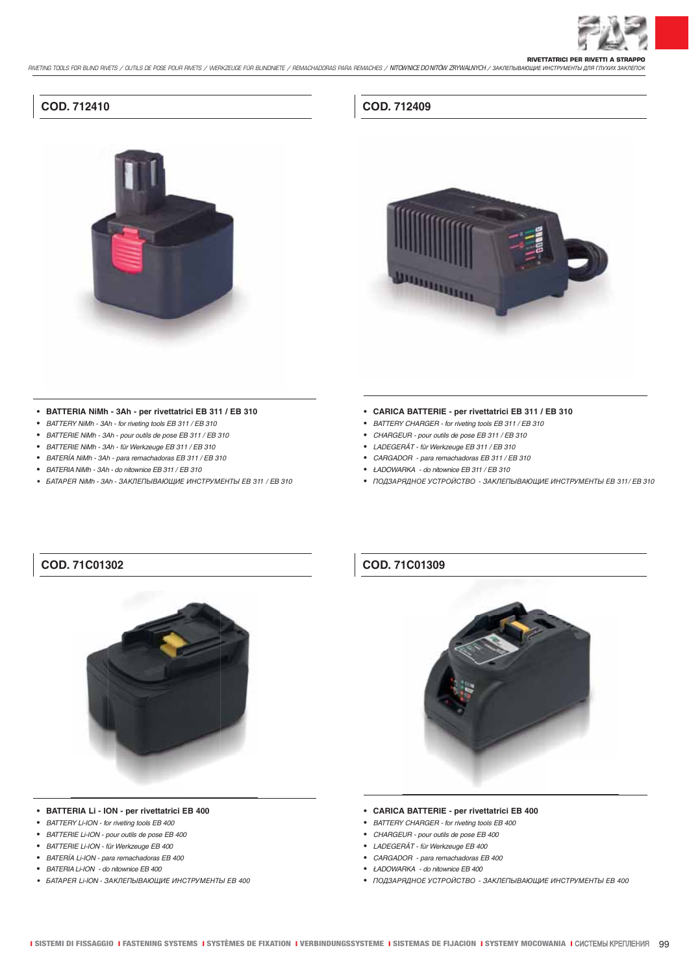

**RIVETTATRICI PER RIVETTI A STRAPPO** *RIVETING TOOLS FOR BLIND RIVETS / OUTILS DE POSE POUR RIVETS / WERKZEUGE FÜR BLINDNIETE / REMACHADORAS PARA REMACHES /* NITOWNICE DO NITÓW ZRYWALNYCH */* ЗАКЛЕПЫВАЮЩИЕ ИНСТРУМЕНТЫ ДЛЯ ГЛУХИХ ЗАКЛЕПОК

## **COD. 712410**



# **COD. 712409**



## **• BATTERIA NiMh - 3Ah - per rivettatrici EB 311 / EB 310**

- *BATTERY NiMh 3Ah for riveting tools EB 311 / EB 310*
- *BATTERIE NiMh 3Ah pour outils de pose EB 311 / EB 310*
- *BATTERIE NiMh 3Ah für Werkzeuge EB 311 / EB 310*
- *BATERÍA NiMh 3Ah para remachadoras EB 311 / EB 310*
- BATERIA *NiMh 3Ah* do nitownice EB 311 */ EB 310*
- БАТАРЕЯ *NiMh 3Ah* ЗАКЛЕПЫВАЮЩИЕ ИНСТРУМЕНТЫ EB 311 */ EB 310*
- **CARICA BATTERIE per rivettatrici EB 311 / EB 310**
- *BATTERY CHARGER for riveting tools EB 311 / EB 310*
- *CHARGEUR pour outils de pose EB 311 / EB 310*
- *LADEGERÄT für Werkzeuge EB 311 / EB 310*
- *CARGADOR para remachadoras EB 311 / EB 310*
- ŁADOWARKA do nitownice EB 311 */ EB 310*
- ПОДЗАРЯДНОЕ УСТРОЙСТВО ЗАКЛЕПЫВАЮЩИЕ ИНСТРУМЕНТЫ EB 311*/ EB 310*

## **COD. 71C01302**



## **COD. 71C01309**



- **BATTERIA Li ION per rivettatrici EB 400**
- *BATTERY Li-ION for riveting tools EB 400*
- *BATTERIE Li-ION pour outils de pose EB 400*
- *BATTERIE Li-ION für Werkzeuge EB 400*
- *BATERÍA Li-ION para remachadoras EB 400*
- BATERIA *Li-ION* do nitownice EB 400
- БАТАРЕЯ *Li-ION* ЗАКЛЕПЫВАЮЩИЕ ИНСТРУМЕНТЫ EB 400

### **• CARICA BATTERIE - per rivettatrici EB 400**

- *BATTERY CHARGER for riveting tools EB 400*
- *CHARGEUR pour outils de pose EB 400*
- *LADEGERÄT für Werkzeuge EB 400*
- *CARGADOR para remachadoras EB 400*
- ŁADOWARKA do nitownice EB 400
- ПОДЗАРЯДНОЕ УСТРОЙСТВО ЗАКЛЕПЫВАЮЩИЕ ИНСТРУМЕНТЫ EB 400